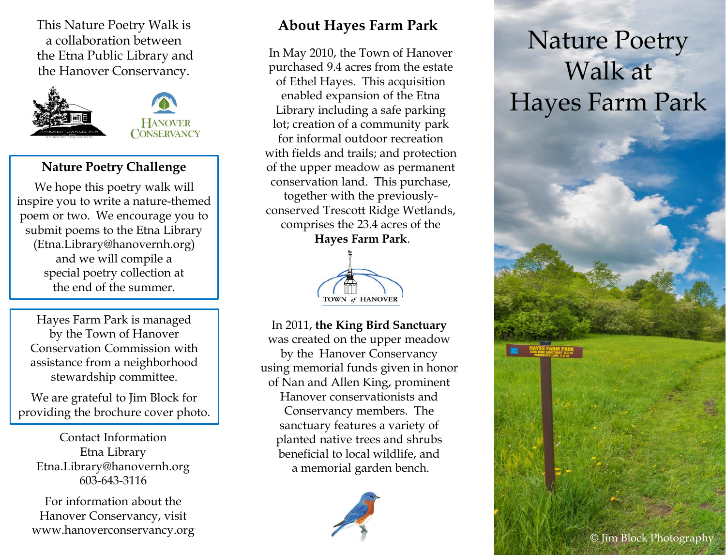This Nature Poetry Walk is a collaboration between the Etna Public Library and the Hanover Conservancy.



## **Nature Poetry Challenge**

We hope this poetry walk will inspire you to write a nature-themed poem or two. We encourage you to submit poems to the Etna Library (Etna.Library@hanovernh.org) and we will compile a special poetry collection at the end of the summer.

Hayes Farm Park is managed by the Town of Hanover Conservation Commission with assistance from a neighborhood stewardship committee.

We are grateful to Jim Block for providing the brochure cover photo.

Contact Information Etna Library Etna.Library@hanovernh.org 603-643-3116

For information about the Hanover Conservancy, visit www.hanoverconservancy.org

## **About Hayes Farm Park**

In May 2010, the Town of Hanover purchased 9.4 acres from the estate of Ethel Hayes. This acquisition enabled expansion of the Etna Library including a safe parking lot; creation of a community park for informal outdoor recreation with fields and trails; and protection of the upper meadow as permanent conservation land. This purchase, together with the previouslyconserved Trescott Ridge Wetlands, comprises the 23.4 acres of the **Hayes Farm Park**.



In 2011, **the King Bird Sanctuary**  was created on the upper meadow by the Hanover Conservancy using memorial funds given in honor of Nan and Allen King, prominent Hanover conservationists and Conservancy members. The sanctuary features a variety of planted native trees and shrubs beneficial to local wildlife, and a memorial garden bench.



## Nature Poetry Walk at Hayes Farm Park